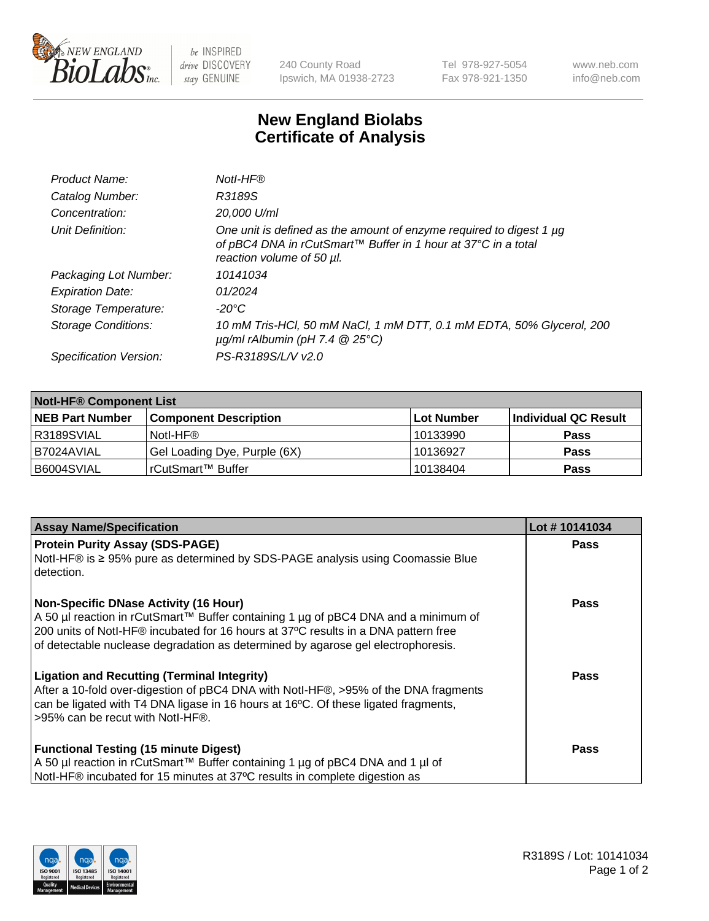

 $be$  INSPIRED drive DISCOVERY stay GENUINE

240 County Road Ipswich, MA 01938-2723 Tel 978-927-5054 Fax 978-921-1350 www.neb.com info@neb.com

## **New England Biolabs Certificate of Analysis**

| Notl-HF®                                                                                                                                                          |
|-------------------------------------------------------------------------------------------------------------------------------------------------------------------|
| R3189S                                                                                                                                                            |
| 20,000 U/ml                                                                                                                                                       |
| One unit is defined as the amount of enzyme required to digest 1 µg<br>of pBC4 DNA in rCutSmart™ Buffer in 1 hour at 37°C in a total<br>reaction volume of 50 µl. |
| 10141034                                                                                                                                                          |
| 01/2024                                                                                                                                                           |
| $-20^{\circ}$ C                                                                                                                                                   |
| 10 mM Tris-HCl, 50 mM NaCl, 1 mM DTT, 0.1 mM EDTA, 50% Glycerol, 200<br>$\mu$ g/ml rAlbumin (pH 7.4 $\circledR$ 25°C)                                             |
| PS-R3189S/L/V v2.0                                                                                                                                                |
|                                                                                                                                                                   |

| <b>Notl-HF® Component List</b> |                              |             |                      |  |  |
|--------------------------------|------------------------------|-------------|----------------------|--|--|
| <b>NEB Part Number</b>         | <b>Component Description</b> | ∣Lot Number | Individual QC Result |  |  |
| R3189SVIAL                     | Notl-HF®                     | 10133990    | <b>Pass</b>          |  |  |
| B7024AVIAL                     | Gel Loading Dye, Purple (6X) | 10136927    | <b>Pass</b>          |  |  |
| B6004SVIAL                     | rCutSmart™ Buffer            | 10138404    | <b>Pass</b>          |  |  |

| <b>Assay Name/Specification</b>                                                              | Lot #10141034 |
|----------------------------------------------------------------------------------------------|---------------|
| <b>Protein Purity Assay (SDS-PAGE)</b>                                                       | <b>Pass</b>   |
| Notl-HF® is ≥ 95% pure as determined by SDS-PAGE analysis using Coomassie Blue<br>detection. |               |
| <b>Non-Specific DNase Activity (16 Hour)</b>                                                 | <b>Pass</b>   |
| A 50 µl reaction in rCutSmart™ Buffer containing 1 µg of pBC4 DNA and a minimum of           |               |
| 200 units of Notl-HF® incubated for 16 hours at 37°C results in a DNA pattern free           |               |
| of detectable nuclease degradation as determined by agarose gel electrophoresis.             |               |
| <b>Ligation and Recutting (Terminal Integrity)</b>                                           | Pass          |
| After a 10-fold over-digestion of pBC4 DNA with Notl-HF®, >95% of the DNA fragments          |               |
| can be ligated with T4 DNA ligase in 16 hours at 16°C. Of these ligated fragments,           |               |
| >95% can be recut with Notl-HF®.                                                             |               |
| <b>Functional Testing (15 minute Digest)</b>                                                 | Pass          |
| A 50 µl reaction in rCutSmart™ Buffer containing 1 µg of pBC4 DNA and 1 µl of                |               |
|                                                                                              |               |
| Notl-HF® incubated for 15 minutes at 37°C results in complete digestion as                   |               |